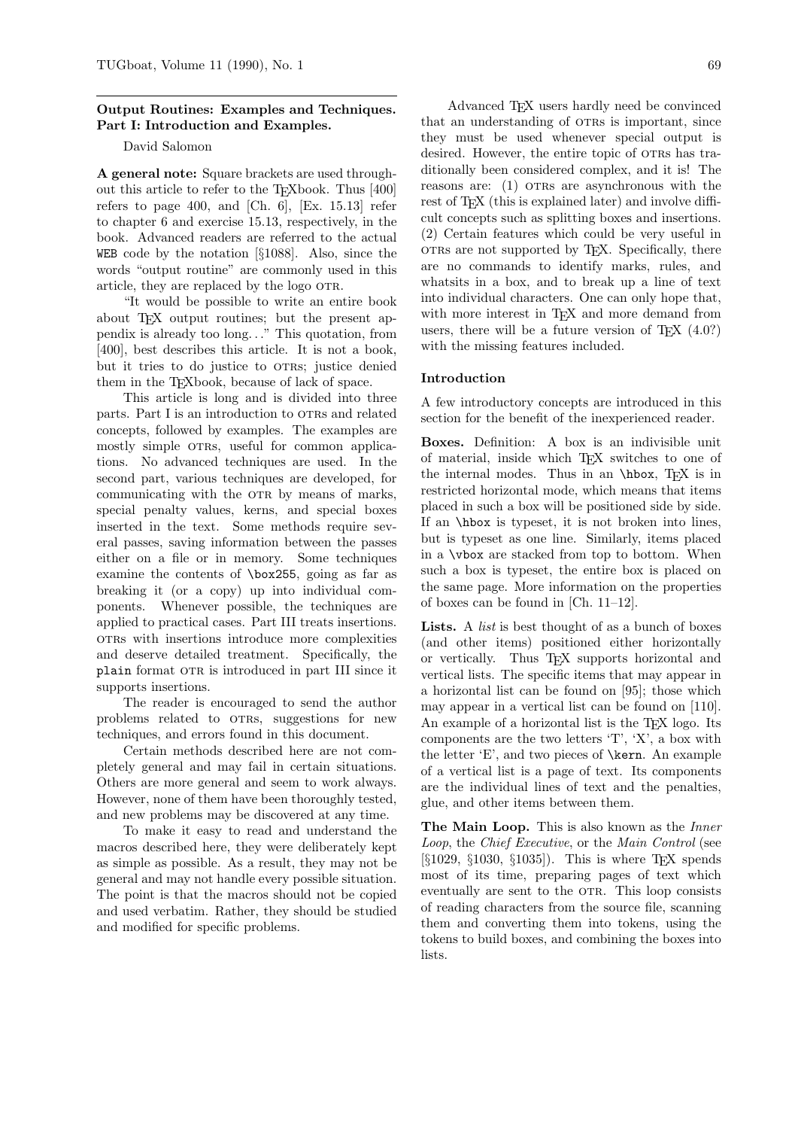## Output Routines: Examples and Techniques. Part I: Introduction and Examples.

## David Salomon

A general note: Square brackets are used throughout this article to refer to the TEXbook. Thus [400] refers to page 400, and [Ch. 6],  $[Ex. 15.13]$  refer to chapter 6 and exercise 15.13, respectively, in the book. Advanced readers are referred to the actual WEB code by the notation [§1088]. Also, since the words "output routine" are commonly used in this article, they are replaced by the logo OTR.

"It would be possible to write an entire book about T<sub>F</sub>X output routines; but the present appendix is already too long. . ." This quotation, from [400], best describes this article. It is not a book, but it tries to do justice to OTRs; justice denied them in the TEXbook, because of lack of space.

This article is long and is divided into three parts. Part I is an introduction to OTRs and related concepts, followed by examples. The examples are mostly simple OTRs, useful for common applications. No advanced techniques are used. In the second part, various techniques are developed, for communicating with the OTR by means of marks, special penalty values, kerns, and special boxes inserted in the text. Some methods require several passes, saving information between the passes either on a file or in memory. Some techniques examine the contents of \box255, going as far as breaking it (or a copy) up into individual components. Whenever possible, the techniques are applied to practical cases. Part III treats insertions. otrs with insertions introduce more complexities and deserve detailed treatment. Specifically, the plain format OTR is introduced in part III since it supports insertions.

The reader is encouraged to send the author problems related to OTRs, suggestions for new techniques, and errors found in this document.

Certain methods described here are not completely general and may fail in certain situations. Others are more general and seem to work always. However, none of them have been thoroughly tested, and new problems may be discovered at any time.

To make it easy to read and understand the macros described here, they were deliberately kept as simple as possible. As a result, they may not be general and may not handle every possible situation. The point is that the macros should not be copied and used verbatim. Rather, they should be studied and modified for specific problems.

Advanced T<sub>E</sub>X users hardly need be convinced that an understanding of OTRs is important, since they must be used whenever special output is desired. However, the entire topic of OTRs has traditionally been considered complex, and it is! The reasons are: (1) oras are asynchronous with the rest of T<sub>F</sub>X (this is explained later) and involve difficult concepts such as splitting boxes and insertions. (2) Certain features which could be very useful in otrs are not supported by T<sub>EX</sub>. Specifically, there are no commands to identify marks, rules, and whatsits in a box, and to break up a line of text into individual characters. One can only hope that, with more interest in TEX and more demand from users, there will be a future version of  $T_{E}X$  (4.0?) with the missing features included.

### Introduction

A few introductory concepts are introduced in this section for the benefit of the inexperienced reader.

Boxes. Definition: A box is an indivisible unit of material, inside which TEX switches to one of the internal modes. Thus in an \hbox, TEX is in restricted horizontal mode, which means that items placed in such a box will be positioned side by side. If an \hbox is typeset, it is not broken into lines, but is typeset as one line. Similarly, items placed in a \vbox are stacked from top to bottom. When such a box is typeset, the entire box is placed on the same page. More information on the properties of boxes can be found in [Ch. 11–12].

Lists. A *list* is best thought of as a bunch of boxes (and other items) positioned either horizontally or vertically. Thus TEX supports horizontal and vertical lists. The specific items that may appear in a horizontal list can be found on [95]; those which may appear in a vertical list can be found on [110]. An example of a horizontal list is the TEX logo. Its components are the two letters 'T', 'X', a box with the letter 'E', and two pieces of \kern. An example of a vertical list is a page of text. Its components are the individual lines of text and the penalties, glue, and other items between them.

The Main Loop. This is also known as the *Inner* Loop, the Chief Executive, or the Main Control (see  $\S 1029, \S 1030, \S 1035$ . This is where TFX spends most of its time, preparing pages of text which eventually are sent to the OTR. This loop consists of reading characters from the source file, scanning them and converting them into tokens, using the tokens to build boxes, and combining the boxes into lists.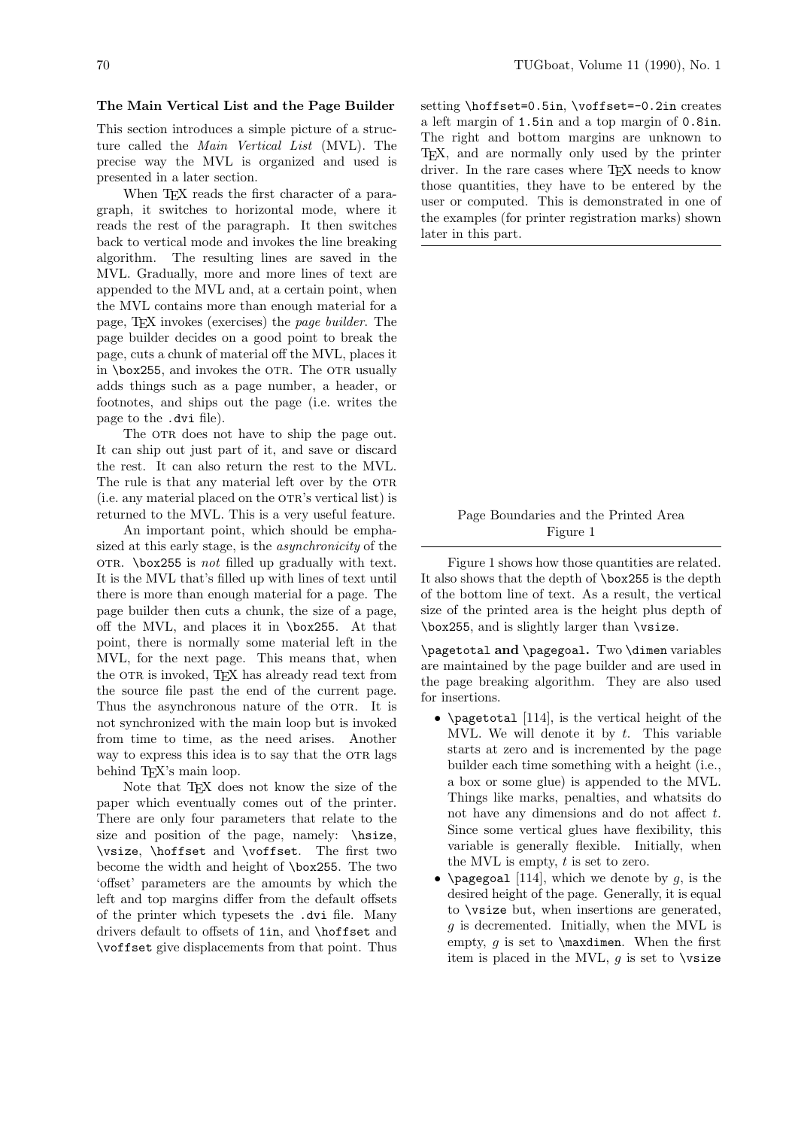#### The Main Vertical List and the Page Builder

This section introduces a simple picture of a structure called the Main Vertical List (MVL). The precise way the MVL is organized and used is presented in a later section.

When T<sub>F</sub>X reads the first character of a paragraph, it switches to horizontal mode, where it reads the rest of the paragraph. It then switches back to vertical mode and invokes the line breaking algorithm. The resulting lines are saved in the MVL. Gradually, more and more lines of text are appended to the MVL and, at a certain point, when the MVL contains more than enough material for a page, TEX invokes (exercises) the page builder. The page builder decides on a good point to break the page, cuts a chunk of material off the MVL, places it in  $\boxtimes$ 255, and invokes the OTR. The OTR usually adds things such as a page number, a header, or footnotes, and ships out the page (i.e. writes the page to the .dvi file).

The OTR does not have to ship the page out. It can ship out just part of it, and save or discard the rest. It can also return the rest to the MVL. The rule is that any material left over by the OTR (i.e. any material placed on the OTR's vertical list) is returned to the MVL. This is a very useful feature.

An important point, which should be emphasized at this early stage, is the asynchronicity of the OTR. \box255 is *not* filled up gradually with text. It is the MVL that's filled up with lines of text until there is more than enough material for a page. The page builder then cuts a chunk, the size of a page, off the MVL, and places it in \box255. At that point, there is normally some material left in the MVL, for the next page. This means that, when the OTR is invoked, TEX has already read text from the source file past the end of the current page. Thus the asynchronous nature of the OTR. It is not synchronized with the main loop but is invoked from time to time, as the need arises. Another way to express this idea is to say that the OTR lags behind T<sub>E</sub>X's main loop.

Note that T<sub>F</sub>X does not know the size of the paper which eventually comes out of the printer. There are only four parameters that relate to the size and position of the page, namely: \hisize, \vsize, \hoffset and \voffset. The first two become the width and height of \box255. The two 'offset' parameters are the amounts by which the left and top margins differ from the default offsets of the printer which typesets the .dvi file. Many drivers default to offsets of 1in, and \hoffset and \voffset give displacements from that point. Thus

setting \hoffset=0.5in, \voffset=-0.2in creates a left margin of 1.5in and a top margin of 0.8in. The right and bottom margins are unknown to TEX, and are normally only used by the printer driver. In the rare cases where T<sub>E</sub>X needs to know those quantities, they have to be entered by the user or computed. This is demonstrated in one of the examples (for printer registration marks) shown later in this part.

# Page Boundaries and the Printed Area Figure 1

Figure 1 shows how those quantities are related. It also shows that the depth of \box255 is the depth of the bottom line of text. As a result, the vertical size of the printed area is the height plus depth of \box255, and is slightly larger than \vsize.

\pagetotal and \pagegoal. Two \dimen variables are maintained by the page builder and are used in the page breaking algorithm. They are also used for insertions.

- \pagetotal  $[114]$ , is the vertical height of the MVL. We will denote it by  $t$ . This variable starts at zero and is incremented by the page builder each time something with a height (i.e., a box or some glue) is appended to the MVL. Things like marks, penalties, and whatsits do not have any dimensions and do not affect t. Since some vertical glues have flexibility, this variable is generally flexible. Initially, when the MVL is empty,  $t$  is set to zero.
- \pagegoal [114], which we denote by q, is the desired height of the page. Generally, it is equal to \vsize but, when insertions are generated, g is decremented. Initially, when the MVL is empty,  $g$  is set to  $\text{maxdimen.}$  When the first item is placed in the MVL,  $g$  is set to  $\forall$ xize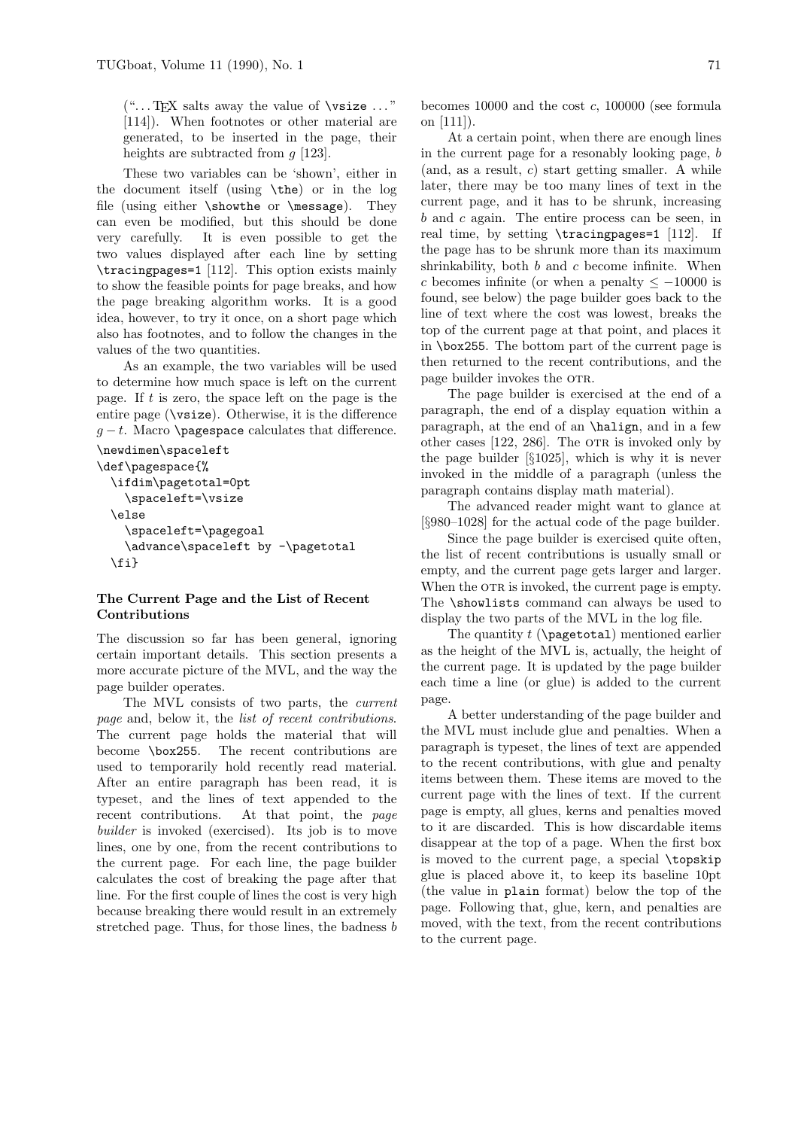$(\text{``...}$  TFX salts away the value of **\vsize**  $\ldots$  " [114]). When footnotes or other material are generated, to be inserted in the page, their heights are subtracted from  $q$  [123].

These two variables can be 'shown', either in the document itself (using \the) or in the log file (using either \showthe or \message). They can even be modified, but this should be done very carefully. It is even possible to get the two values displayed after each line by setting \tracingpages=1 [112]. This option exists mainly to show the feasible points for page breaks, and how the page breaking algorithm works. It is a good idea, however, to try it once, on a short page which also has footnotes, and to follow the changes in the values of the two quantities.

As an example, the two variables will be used to determine how much space is left on the current page. If t is zero, the space left on the page is the entire page (\vsize). Otherwise, it is the difference  $g - t$ . Macro \pagespace calculates that difference.

```
\newdimen\spaceleft
```

```
\def\pagespace{%
 \ifdim\pagetotal=0pt
    \spaceleft=\vsize
 \else
    \spaceleft=\pagegoal
    \advance\spaceleft by -\pagetotal
 \fi}
```
# The Current Page and the List of Recent Contributions

The discussion so far has been general, ignoring certain important details. This section presents a more accurate picture of the MVL, and the way the page builder operates.

The MVL consists of two parts, the current page and, below it, the list of recent contributions. The current page holds the material that will become \box255. The recent contributions are used to temporarily hold recently read material. After an entire paragraph has been read, it is typeset, and the lines of text appended to the recent contributions. At that point, the page builder is invoked (exercised). Its job is to move lines, one by one, from the recent contributions to the current page. For each line, the page builder calculates the cost of breaking the page after that line. For the first couple of lines the cost is very high because breaking there would result in an extremely stretched page. Thus, for those lines, the badness b

becomes 10000 and the cost  $c$ , 100000 (see formula on [111]).

At a certain point, when there are enough lines in the current page for a resonably looking page, b  $(and, as a result, c) start getting smaller. A while$ later, there may be too many lines of text in the current page, and it has to be shrunk, increasing  $b$  and  $c$  again. The entire process can be seen, in real time, by setting \tracingpages=1 [112]. If the page has to be shrunk more than its maximum shrinkability, both  $b$  and  $c$  become infinite. When c becomes infinite (or when a penalty  $\leq -10000$  is found, see below) the page builder goes back to the line of text where the cost was lowest, breaks the top of the current page at that point, and places it in \box255. The bottom part of the current page is then returned to the recent contributions, and the page builder invokes the OTR.

The page builder is exercised at the end of a paragraph, the end of a display equation within a paragraph, at the end of an \halign, and in a few other cases  $[122, 286]$ . The OTR is invoked only by the page builder [§1025], which is why it is never invoked in the middle of a paragraph (unless the paragraph contains display math material).

The advanced reader might want to glance at [§980–1028] for the actual code of the page builder.

Since the page builder is exercised quite often, the list of recent contributions is usually small or empty, and the current page gets larger and larger. When the OTR is invoked, the current page is empty. The \showlists command can always be used to display the two parts of the MVL in the log file.

The quantity  $t$  ( $\text{paggerotal}$ ) mentioned earlier as the height of the MVL is, actually, the height of the current page. It is updated by the page builder each time a line (or glue) is added to the current page.

A better understanding of the page builder and the MVL must include glue and penalties. When a paragraph is typeset, the lines of text are appended to the recent contributions, with glue and penalty items between them. These items are moved to the current page with the lines of text. If the current page is empty, all glues, kerns and penalties moved to it are discarded. This is how discardable items disappear at the top of a page. When the first box is moved to the current page, a special \topskip glue is placed above it, to keep its baseline 10pt (the value in plain format) below the top of the page. Following that, glue, kern, and penalties are moved, with the text, from the recent contributions to the current page.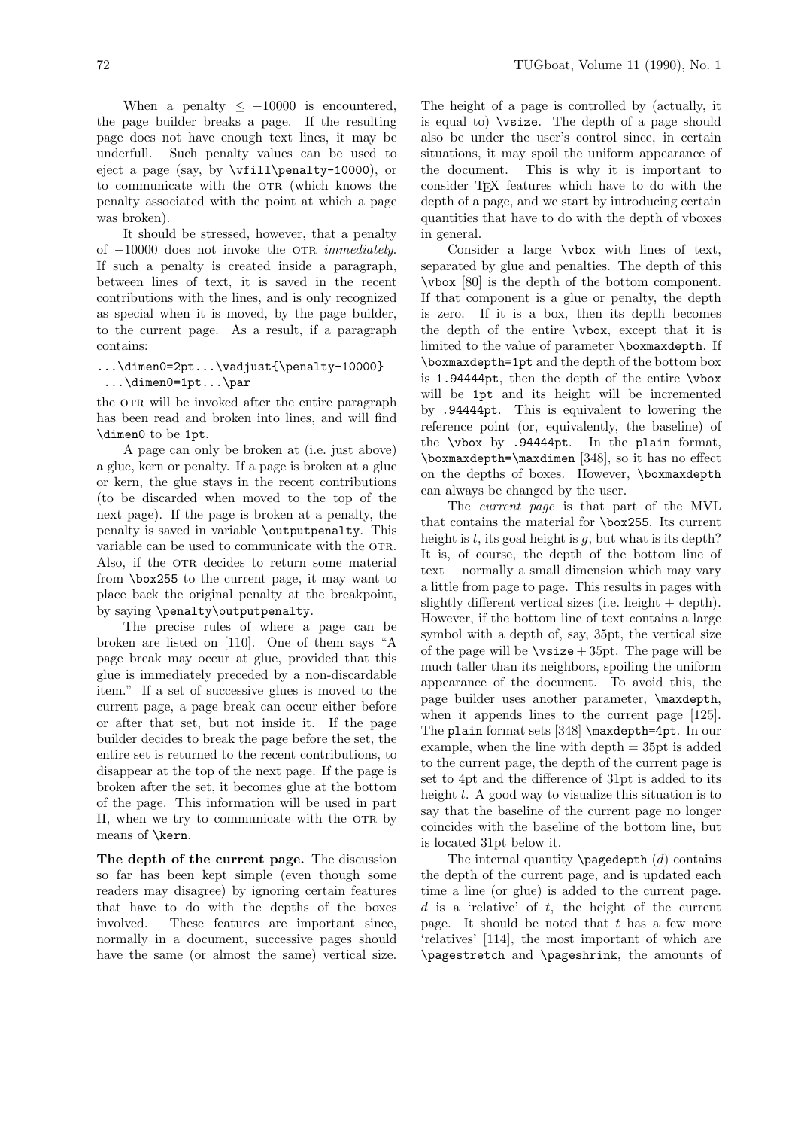When a penalty  $\leq -10000$  is encountered, the page builder breaks a page. If the resulting page does not have enough text lines, it may be underfull. Such penalty values can be used to eject a page (say, by \vfill\penalty-10000), or to communicate with the OTR (which knows the penalty associated with the point at which a page was broken).

It should be stressed, however, that a penalty of  $-10000$  does not invoke the OTR *immediately*. If such a penalty is created inside a paragraph, between lines of text, it is saved in the recent contributions with the lines, and is only recognized as special when it is moved, by the page builder, to the current page. As a result, if a paragraph contains:

```
...\dimen0=2pt...\vadjust{\penalty-10000}
 ...\dimen0=1pt...\par
```
the OTR will be invoked after the entire paragraph has been read and broken into lines, and will find \dimen0 to be 1pt.

A page can only be broken at (i.e. just above) a glue, kern or penalty. If a page is broken at a glue or kern, the glue stays in the recent contributions (to be discarded when moved to the top of the next page). If the page is broken at a penalty, the penalty is saved in variable \outputpenalty. This variable can be used to communicate with the OTR. Also, if the OTR decides to return some material from \box255 to the current page, it may want to place back the original penalty at the breakpoint, by saying \penalty\outputpenalty.

The precise rules of where a page can be broken are listed on [110]. One of them says "A page break may occur at glue, provided that this glue is immediately preceded by a non-discardable item." If a set of successive glues is moved to the current page, a page break can occur either before or after that set, but not inside it. If the page builder decides to break the page before the set, the entire set is returned to the recent contributions, to disappear at the top of the next page. If the page is broken after the set, it becomes glue at the bottom of the page. This information will be used in part II, when we try to communicate with the OTR by means of \kern.

The depth of the current page. The discussion so far has been kept simple (even though some readers may disagree) by ignoring certain features that have to do with the depths of the boxes involved. These features are important since, normally in a document, successive pages should have the same (or almost the same) vertical size.

The height of a page is controlled by (actually, it is equal to) \vsize. The depth of a page should also be under the user's control since, in certain situations, it may spoil the uniform appearance of the document. This is why it is important to consider TEX features which have to do with the depth of a page, and we start by introducing certain quantities that have to do with the depth of vboxes in general.

Consider a large \vbox with lines of text, separated by glue and penalties. The depth of this \vbox [80] is the depth of the bottom component. If that component is a glue or penalty, the depth is zero. If it is a box, then its depth becomes the depth of the entire \vbox, except that it is limited to the value of parameter \boxmaxdepth. If \boxmaxdepth=1pt and the depth of the bottom box is 1.94444pt, then the depth of the entire \vbox will be  $1pt$  and its height will be incremented by .94444pt. This is equivalent to lowering the reference point (or, equivalently, the baseline) of the \vbox by .94444pt. In the plain format, \boxmaxdepth=\maxdimen [348], so it has no effect on the depths of boxes. However, \boxmaxdepth can always be changed by the user.

The current page is that part of the MVL that contains the material for \box255. Its current height is t, its goal height is q, but what is its depth? It is, of course, the depth of the bottom line of text — normally a small dimension which may vary a little from page to page. This results in pages with slightly different vertical sizes (i.e. height  $+$  depth). However, if the bottom line of text contains a large symbol with a depth of, say, 35pt, the vertical size of the page will be  $\text{visize} + 35pt.$  The page will be much taller than its neighbors, spoiling the uniform appearance of the document. To avoid this, the page builder uses another parameter, \maxdepth, when it appends lines to the current page [125]. The plain format sets [348] \maxdepth=4pt. In our example, when the line with depth = 35pt is added to the current page, the depth of the current page is set to 4pt and the difference of 31pt is added to its height  $t$ . A good way to visualize this situation is to say that the baseline of the current page no longer coincides with the baseline of the bottom line, but is located 31pt below it.

The internal quantity  $\text{pagedepth } (d)$  contains the depth of the current page, and is updated each time a line (or glue) is added to the current page.  $d$  is a 'relative' of  $t$ , the height of the current page. It should be noted that  $t$  has a few more 'relatives' [114], the most important of which are \pagestretch and \pageshrink, the amounts of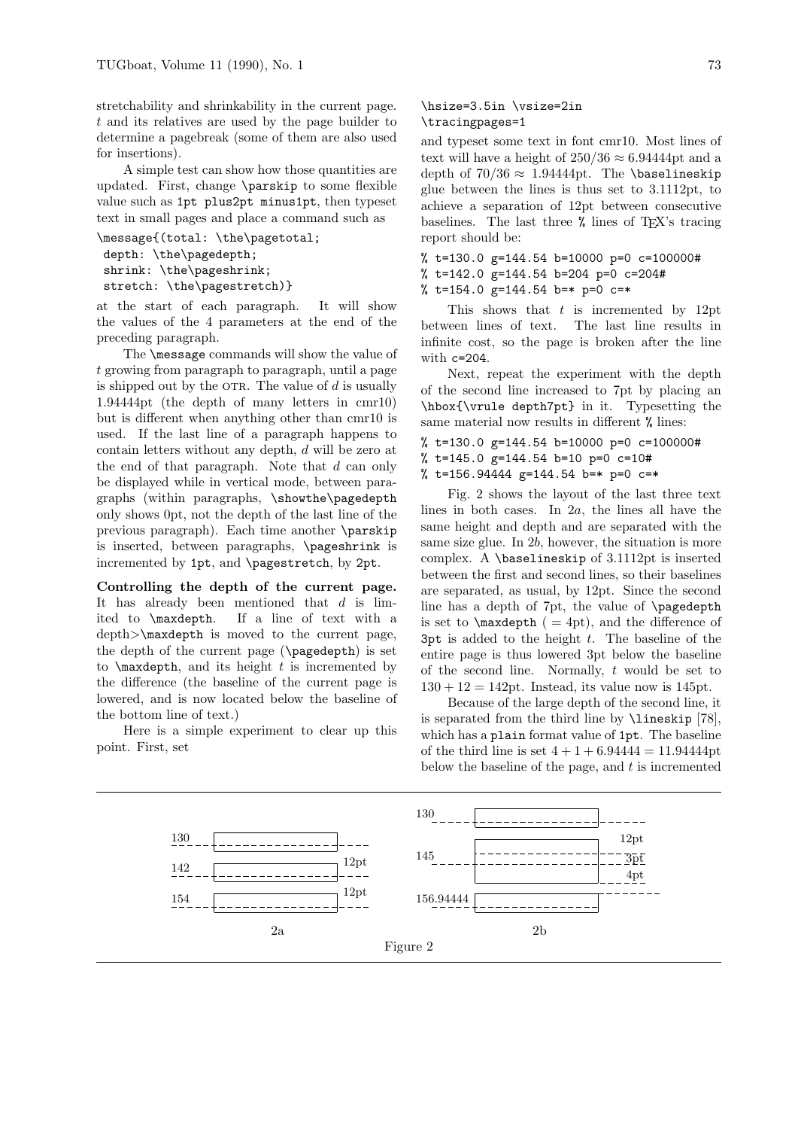stretchability and shrinkability in the current page. t and its relatives are used by the page builder to determine a pagebreak (some of them are also used for insertions).

A simple test can show how those quantities are updated. First, change \parskip to some flexible value such as 1pt plus2pt minus1pt, then typeset text in small pages and place a command such as

```
\message{(total: \the\pagetotal;
depth: \the\pagedepth;
 shrink: \the\pageshrink;
stretch: \the\pagestretch)}
```
at the start of each paragraph. It will show the values of the 4 parameters at the end of the preceding paragraph.

The \message commands will show the value of t growing from paragraph to paragraph, until a page is shipped out by the OTR. The value of  $d$  is usually 1.94444pt (the depth of many letters in cmr10) but is different when anything other than cmr10 is used. If the last line of a paragraph happens to contain letters without any depth, d will be zero at the end of that paragraph. Note that d can only be displayed while in vertical mode, between paragraphs (within paragraphs, \showthe\pagedepth only shows 0pt, not the depth of the last line of the previous paragraph). Each time another \parskip is inserted, between paragraphs, \pageshrink is incremented by 1pt, and \pagestretch, by 2pt.

Controlling the depth of the current page. It has already been mentioned that  $d$  is limited to \maxdepth. If a line of text with a depth>\maxdepth is moved to the current page, the depth of the current page (\pagedepth) is set to  $\text{maxdepth}$ , and its height t is incremented by the difference (the baseline of the current page is lowered, and is now located below the baseline of the bottom line of text.)

Here is a simple experiment to clear up this point. First, set

## \hsize=3.5in \vsize=2in \tracingpages=1

and typeset some text in font cmr10. Most lines of text will have a height of  $250/36 \approx 6.94444$ pt and a depth of  $70/36 \approx 1.94444$ pt. The \baselineskip glue between the lines is thus set to 3.1112pt, to achieve a separation of 12pt between consecutive baselines. The last three % lines of TEX's tracing report should be:

```
% t=130.0 g=144.54 b=10000 p=0 c=100000#
% t=142.0 g=144.54 b=204 p=0 c=204#
% t=154.0 g=144.54 b=* p=0 c=*
```
This shows that  $t$  is incremented by 12pt between lines of text. The last line results in infinite cost, so the page is broken after the line with c=204.

Next, repeat the experiment with the depth of the second line increased to 7pt by placing an \hbox{\vrule depth7pt} in it. Typesetting the same material now results in different % lines:

% t=130.0 g=144.54 b=10000 p=0 c=100000# % t=145.0 g=144.54 b=10 p=0 c=10# % t=156.94444 g=144.54 b=\* p=0 c=\*

Fig. 2 shows the layout of the last three text lines in both cases. In 2a, the lines all have the same height and depth and are separated with the same size glue. In 2b, however, the situation is more complex. A \baselineskip of 3.1112pt is inserted between the first and second lines, so their baselines are separated, as usual, by 12pt. Since the second line has a depth of 7pt, the value of \pagedepth is set to  $\text{epth}$  ( = 4pt), and the difference of 3pt is added to the height  $t$ . The baseline of the entire page is thus lowered 3pt below the baseline of the second line. Normally,  $t$  would be set to  $130 + 12 = 142$ pt. Instead, its value now is 145pt.

Because of the large depth of the second line, it is separated from the third line by \lineskip [78], which has a plain format value of 1pt. The baseline of the third line is set  $4 + 1 + 6.94444 = 11.94444$ pt below the baseline of the page, and  $t$  is incremented

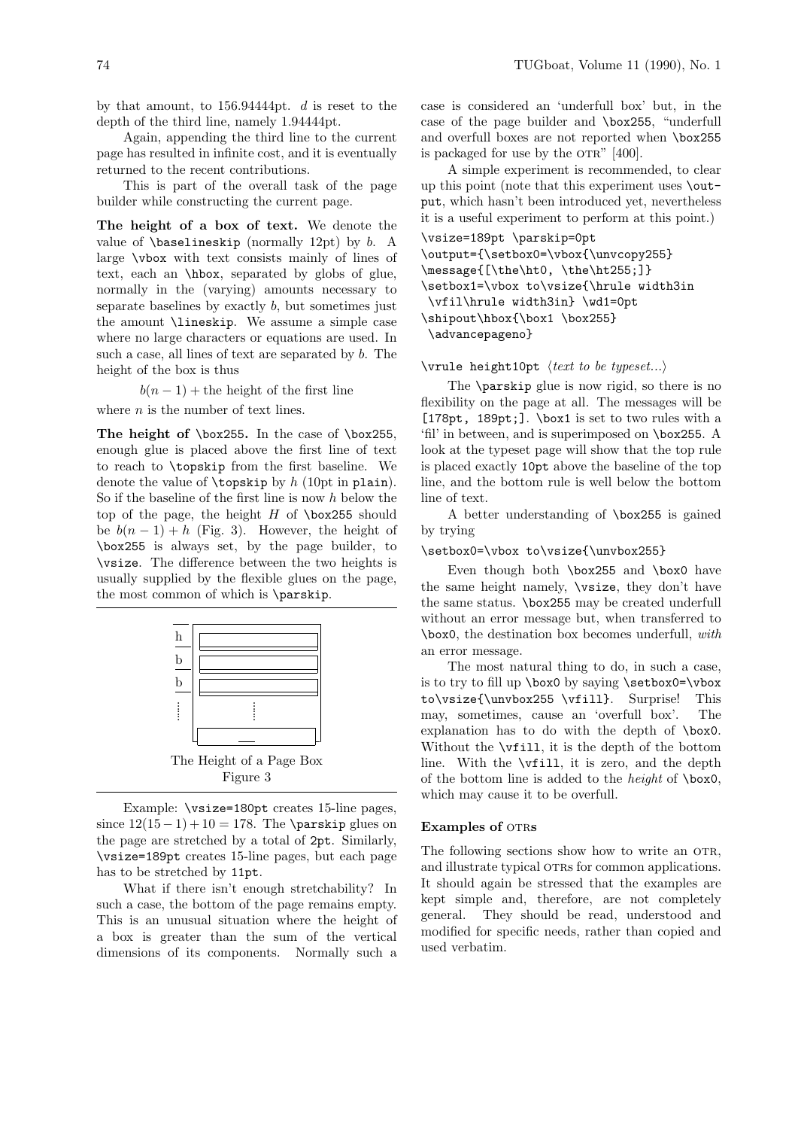by that amount, to 156.94444pt. d is reset to the depth of the third line, namely 1.94444pt.

Again, appending the third line to the current page has resulted in infinite cost, and it is eventually returned to the recent contributions.

This is part of the overall task of the page builder while constructing the current page.

The height of a box of text. We denote the value of  $\baselineskip$  (normally 12pt) by b. A large \vbox with text consists mainly of lines of text, each an \hbox, separated by globs of glue, normally in the (varying) amounts necessary to separate baselines by exactly  $b$ , but sometimes just the amount \lineskip. We assume a simple case where no large characters or equations are used. In such a case, all lines of text are separated by b. The height of the box is thus

 $b(n-1)$  + the height of the first line

where  $n$  is the number of text lines.

The height of \box255. In the case of \box255, enough glue is placed above the first line of text to reach to \topskip from the first baseline. We denote the value of  $\text{topskip by } h$  (10pt in plain). So if the baseline of the first line is now  $h$  below the top of the page, the height  $H$  of  $\boxtimes$ 255 should be  $b(n-1) + h$  (Fig. 3). However, the height of \box255 is always set, by the page builder, to \vsize. The difference between the two heights is usually supplied by the flexible glues on the page, the most common of which is \parskip.



Example: \vsize=180pt creates 15-line pages, since  $12(15-1)+10=178$ . The \parskip glues on the page are stretched by a total of 2pt. Similarly, \vsize=189pt creates 15-line pages, but each page has to be stretched by 11pt.

What if there isn't enough stretchability? In such a case, the bottom of the page remains empty. This is an unusual situation where the height of a box is greater than the sum of the vertical dimensions of its components. Normally such a case is considered an 'underfull box' but, in the case of the page builder and \box255, "underfull and overfull boxes are not reported when \box255 is packaged for use by the  $\text{OTR}^"$  [400].

A simple experiment is recommended, to clear up this point (note that this experiment uses \output, which hasn't been introduced yet, nevertheless it is a useful experiment to perform at this point.)

```
\vsize=189pt \parskip=0pt
\output={\setbox0=\vbox{\unvcopy255}
\message{[\the\ht0, \the\ht255;]}
\setbox1=\vbox to\vsize{\hrule width3in
 \vfil\hrule width3in} \wd1=0pt
\shipout\hbox{\box1 \box255}
\advancepageno}
```
## $\forall$ rule height10pt  $\langle text\ to\ be\ typeset...\rangle$

The \parskip glue is now rigid, so there is no flexibility on the page at all. The messages will be [178pt, 189pt;]. \box1 is set to two rules with a 'fil' in between, and is superimposed on \box255. A look at the typeset page will show that the top rule is placed exactly 10pt above the baseline of the top line, and the bottom rule is well below the bottom line of text.

A better understanding of \box255 is gained by trying

#### \setbox0=\vbox to\vsize{\unvbox255}

Even though both \box255 and \box0 have the same height namely, \vsize, they don't have the same status. \box255 may be created underfull without an error message but, when transferred to \box0, the destination box becomes underfull, with an error message.

The most natural thing to do, in such a case, is to try to fill up  $\boxtimes 0$  by saying  $\setminus \setminus 0$  =  $\forall$ to\vsize{\unvbox255 \vfill}. Surprise! This may, sometimes, cause an 'overfull box'. The explanation has to do with the depth of \box0. Without the \vfill, it is the depth of the bottom line. With the \vfill, it is zero, and the depth of the bottom line is added to the height of \box0, which may cause it to be overfull.

## Examples of OTRS

The following sections show how to write an OTR, and illustrate typical OTRs for common applications. It should again be stressed that the examples are kept simple and, therefore, are not completely general. They should be read, understood and modified for specific needs, rather than copied and used verbatim.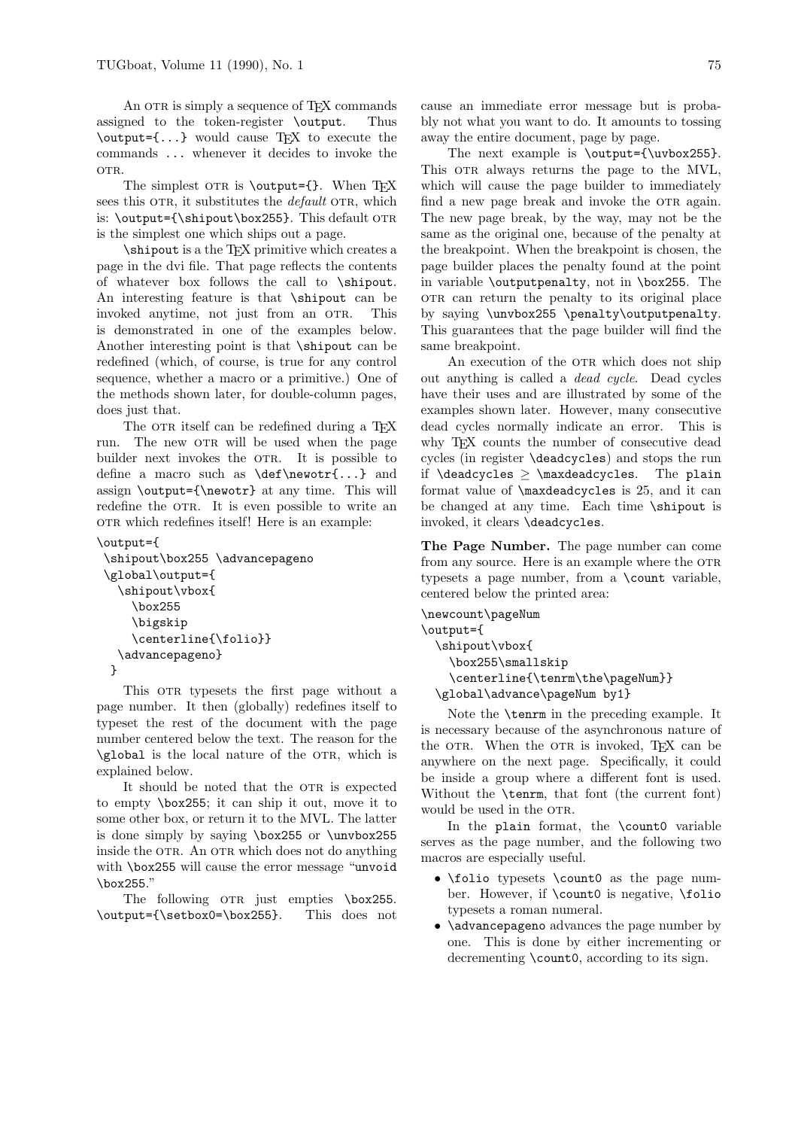An OTR is simply a sequence of T<sub>EX</sub> commands assigned to the token-register \output. Thus \output={...} would cause TEX to execute the commands ... whenever it decides to invoke the OTR.

The simplest OTR is  $\output={}.$  When TFX sees this OTR, it substitutes the *default* OTR, which is:  $\output={\shipout\boxtimes255}.$  This default OTR is the simplest one which ships out a page.

\shipout is a the TEX primitive which creates a page in the dvi file. That page reflects the contents of whatever box follows the call to \shipout. An interesting feature is that \shipout can be invoked anytime, not just from an OTR. This is demonstrated in one of the examples below. Another interesting point is that \shipout can be redefined (which, of course, is true for any control sequence, whether a macro or a primitive.) One of the methods shown later, for double-column pages, does just that.

The OTR itself can be redefined during a TFX run. The new OTR will be used when the page builder next invokes the OTR. It is possible to define a macro such as \def\newotr{...} and assign \output={\newotr} at any time. This will redefine the OTR. It is even possible to write an OTR which redefines itself! Here is an example:

#### \output={

```
\shipout\box255 \advancepageno
\global\output={
 \shipout\vbox{
    \box255
    \bigskip
    \centerline{\folio}}
  \advancepageno}
}
```
This OTR typesets the first page without a page number. It then (globally) redefines itself to typeset the rest of the document with the page number centered below the text. The reason for the \global is the local nature of the OTR, which is explained below.

It should be noted that the OTR is expected to empty \box255; it can ship it out, move it to some other box, or return it to the MVL. The latter is done simply by saying \box255 or \unvbox255 inside the OTR. An OTR which does not do anything with \box255 will cause the error message "unvoid \box255."

The following OTR just empties \box255. \output={\setbox0=\box255}. This does not cause an immediate error message but is probably not what you want to do. It amounts to tossing away the entire document, page by page.

The next example is \output={\uvbox255}. This OTR always returns the page to the MVL, which will cause the page builder to immediately find a new page break and invoke the OTR again. The new page break, by the way, may not be the same as the original one, because of the penalty at the breakpoint. When the breakpoint is chosen, the page builder places the penalty found at the point in variable \outputpenalty, not in \box255. The or can return the penalty to its original place by saying \unvbox255 \penalty\outputpenalty. This guarantees that the page builder will find the same breakpoint.

An execution of the OTR which does not ship out anything is called a dead cycle. Dead cycles have their uses and are illustrated by some of the examples shown later. However, many consecutive dead cycles normally indicate an error. This is why T<sub>E</sub>X counts the number of consecutive dead cycles (in register \deadcycles) and stops the run if  $\deadcycles \geq \maxdeadcycles$ . The plain format value of \maxdeadcycles is 25, and it can be changed at any time. Each time \shipout is invoked, it clears \deadcycles.

The Page Number. The page number can come from any source. Here is an example where the OTR typesets a page number, from a \count variable, centered below the printed area:

```
\newcount\pageNum
\output={
 \shipout\vbox{
    \box255\smallskip
    \centerline{\tenrm\the\pageNum}}
  \global\advance\pageNum by1}
```
Note the \tenrm in the preceding example. It is necessary because of the asynchronous nature of the OTR. When the OTR is invoked, T<sub>F</sub>X can be anywhere on the next page. Specifically, it could be inside a group where a different font is used. Without the \tenrm, that font (the current font) would be used in the OTR.

In the plain format, the \count0 variable serves as the page number, and the following two macros are especially useful.

- \folio typesets \count0 as the page number. However, if \count0 is negative, \folio typesets a roman numeral.
- **\advancepageno** advances the page number by one. This is done by either incrementing or decrementing \count0, according to its sign.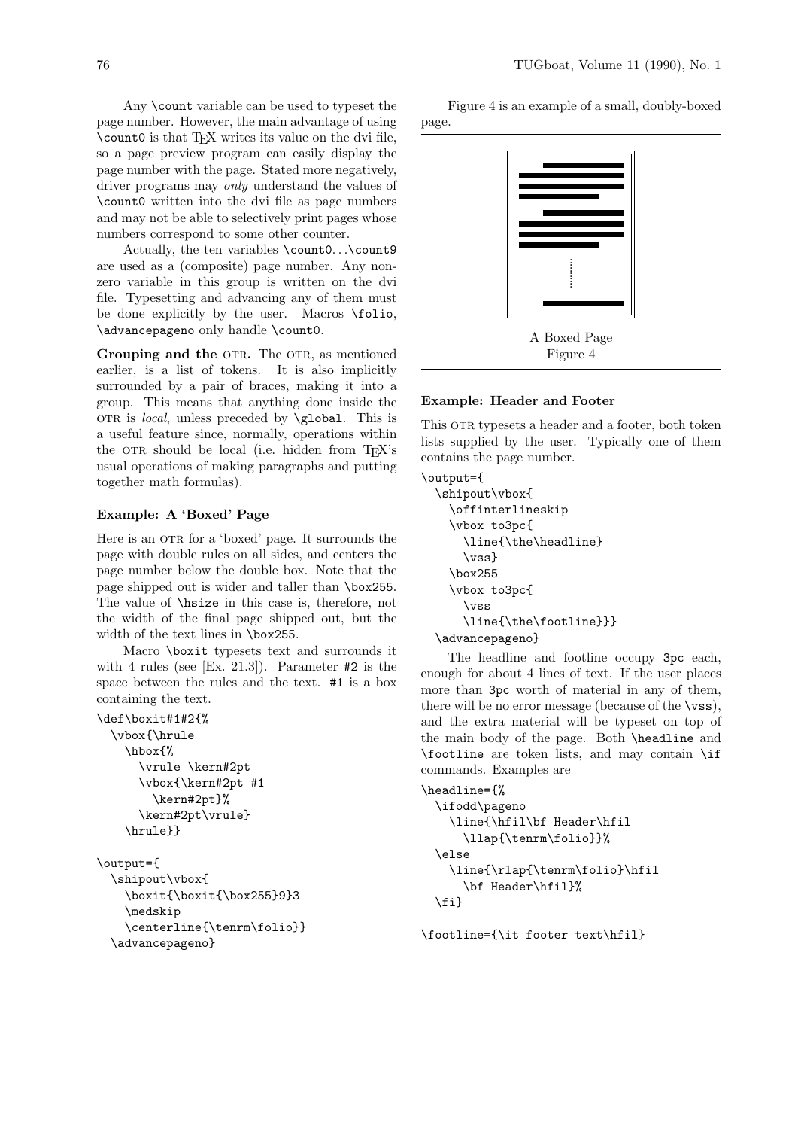Any \count variable can be used to typeset the page number. However, the main advantage of using \count0 is that TEX writes its value on the dvi file, so a page preview program can easily display the page number with the page. Stated more negatively, driver programs may only understand the values of \count0 written into the dvi file as page numbers and may not be able to selectively print pages whose numbers correspond to some other counter.

Actually, the ten variables \count0. . .\count9 are used as a (composite) page number. Any nonzero variable in this group is written on the dvi file. Typesetting and advancing any of them must be done explicitly by the user. Macros \folio, \advancepageno only handle \count0.

Grouping and the OTR. The OTR, as mentioned earlier, is a list of tokens. It is also implicitly surrounded by a pair of braces, making it into a group. This means that anything done inside the OTR is *local*, unless preceded by  $\geq \geq 1$  This is a useful feature since, normally, operations within the OTR should be local (i.e. hidden from T<sub>EX</sub>'s usual operations of making paragraphs and putting together math formulas).

## Example: A 'Boxed' Page

Here is an OTR for a 'boxed' page. It surrounds the page with double rules on all sides, and centers the page number below the double box. Note that the page shipped out is wider and taller than \box255. The value of \hsize in this case is, therefore, not the width of the final page shipped out, but the width of the text lines in \box255.

Macro \boxit typesets text and surrounds it with 4 rules (see [Ex. 21.3]). Parameter #2 is the space between the rules and the text. #1 is a box containing the text.

```
\def\boxit#1#2{%
  \vbox{\hrule
    \hbox{%
      \vrule \kern#2pt
      \vbox{\kern#2pt #1
        \kern#2pt}%
      \kern#2pt\vrule}
    \hrule}}
```
# \output={ \shipout\vbox{

```
\boxit{\boxit{\box255}9}3
  \medskip
  \centerline{\tenrm\folio}}
\advancepageno}
```
Figure 4 is an example of a small, doubly-boxed page.



A Boxed Page Figure 4

## Example: Header and Footer

This OTR typesets a header and a footer, both token lists supplied by the user. Typically one of them contains the page number.

```
\output={
```

```
\shipout\vbox{
  \offinterlineskip
  \vbox to3pc{
    \line{\the\headline}
    \vss}
  \box255
  \vbox to3pc{
    \vss
    \line{\the\footline}}}
\advancepageno}
```
The headline and footline occupy 3pc each, enough for about 4 lines of text. If the user places more than 3pc worth of material in any of them, there will be no error message (because of the \vss), and the extra material will be typeset on top of the main body of the page. Both \headline and \footline are token lists, and may contain \if commands. Examples are

```
\headline={%
 \ifodd\pageno
    \line{\hfil\bf Header\hfil
      \llap{\tenrm\folio}}%
  \else
    \line{\rlap{\tenrm\folio}\hfil
      \bf Header\hfil}%
  \fi}
```
\footline={\it footer text\hfil}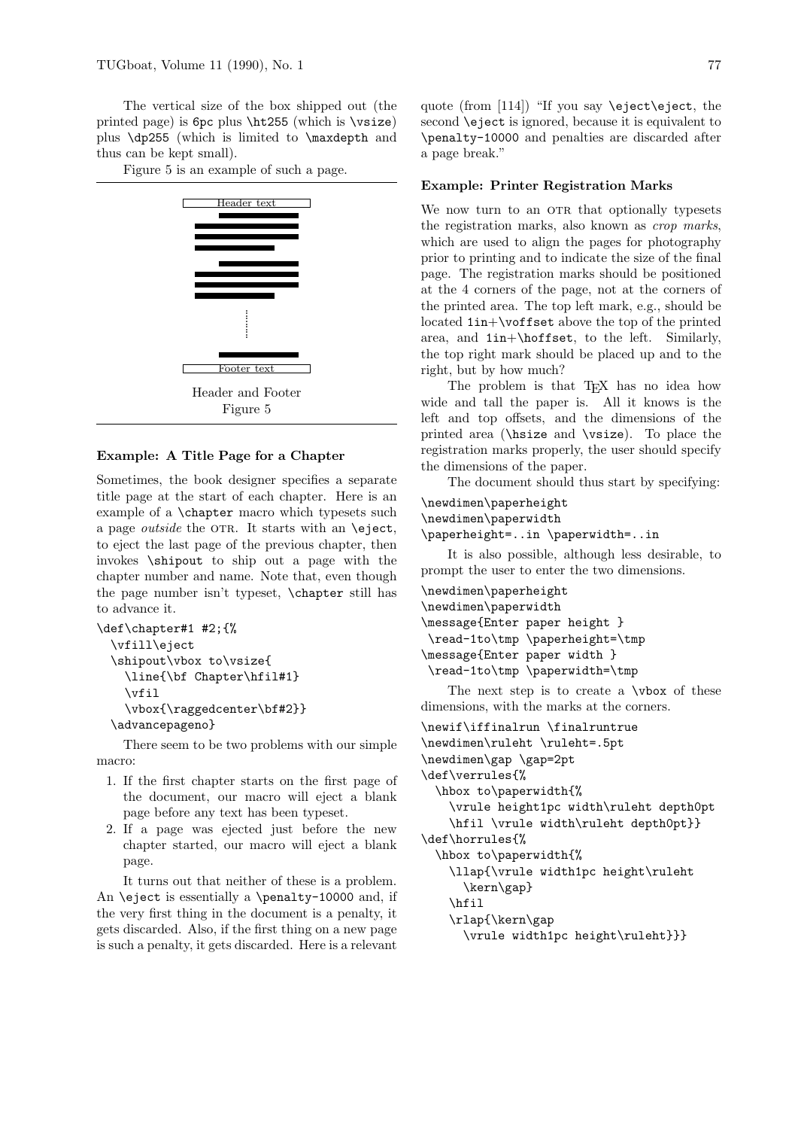The vertical size of the box shipped out (the printed page) is 6pc plus \ht255 (which is \vsize) plus \dp255 (which is limited to \maxdepth and thus can be kept small).

Figure 5 is an example of such a page.



### Example: A Title Page for a Chapter

Sometimes, the book designer specifies a separate title page at the start of each chapter. Here is an example of a \chapter macro which typesets such a page *outside* the OTR. It starts with an  $\e$ ject, to eject the last page of the previous chapter, then invokes \shipout to ship out a page with the chapter number and name. Note that, even though the page number isn't typeset, \chapter still has to advance it.

```
\def\chapter#1 #2;{%
  \vfill\eject
 \shipout\vbox to\vsize{
    \line{\bf Chapter\hfil#1}
    \vfil
    \vbox{\raggedcenter\bf#2}}
  \advancepageno}
```
There seem to be two problems with our simple macro:

- 1. If the first chapter starts on the first page of the document, our macro will eject a blank page before any text has been typeset.
- 2. If a page was ejected just before the new chapter started, our macro will eject a blank page.

It turns out that neither of these is a problem. An \eject is essentially a \penalty-10000 and, if the very first thing in the document is a penalty, it gets discarded. Also, if the first thing on a new page is such a penalty, it gets discarded. Here is a relevant quote (from [114]) "If you say  $\ee$ iect $\ee$ iect, the second \eject is ignored, because it is equivalent to \penalty-10000 and penalties are discarded after a page break."

#### Example: Printer Registration Marks

We now turn to an OTR that optionally typesets the registration marks, also known as crop marks, which are used to align the pages for photography prior to printing and to indicate the size of the final page. The registration marks should be positioned at the 4 corners of the page, not at the corners of the printed area. The top left mark, e.g., should be located 1in+\voffset above the top of the printed area, and 1in+\hoffset, to the left. Similarly, the top right mark should be placed up and to the right, but by how much?

The problem is that T<sub>E</sub>X has no idea how wide and tall the paper is. All it knows is the left and top offsets, and the dimensions of the printed area (\hsize and \vsize). To place the registration marks properly, the user should specify the dimensions of the paper.

The document should thus start by specifying:

```
\newdimen\paperheight
\newdimen\paperwidth
\paperheight=..in \paperwidth=..in
   It is also possible, although less desirable, to
prompt the user to enter the two dimensions.
\newdimen\paperheight
\newdimen\paperwidth
\message{Enter paper height }
 \read-1to\tmp \paperheight=\tmp
\message{Enter paper width }
\read-1to\tmp \paperwidth=\tmp
```
The next step is to create a  $\nu$ box of these dimensions, with the marks at the corners.

```
\newif\iffinalrun \finalruntrue
\newdimen\ruleht \ruleht=.5pt
\newdimen\gap \gap=2pt
\def\verrules{%
  \hbox to\paperwidth{%
   \vrule height1pc width\ruleht depth0pt
   \hfil \vrule width\ruleht depth0pt}}
\def\horrules{%
  \hbox to\paperwidth{%
    \llap{\vrule width1pc height\ruleht
      \kern\gap}
    \hfil
   \rlap{\kern\gap
      \vrule width1pc height\ruleht}}}
```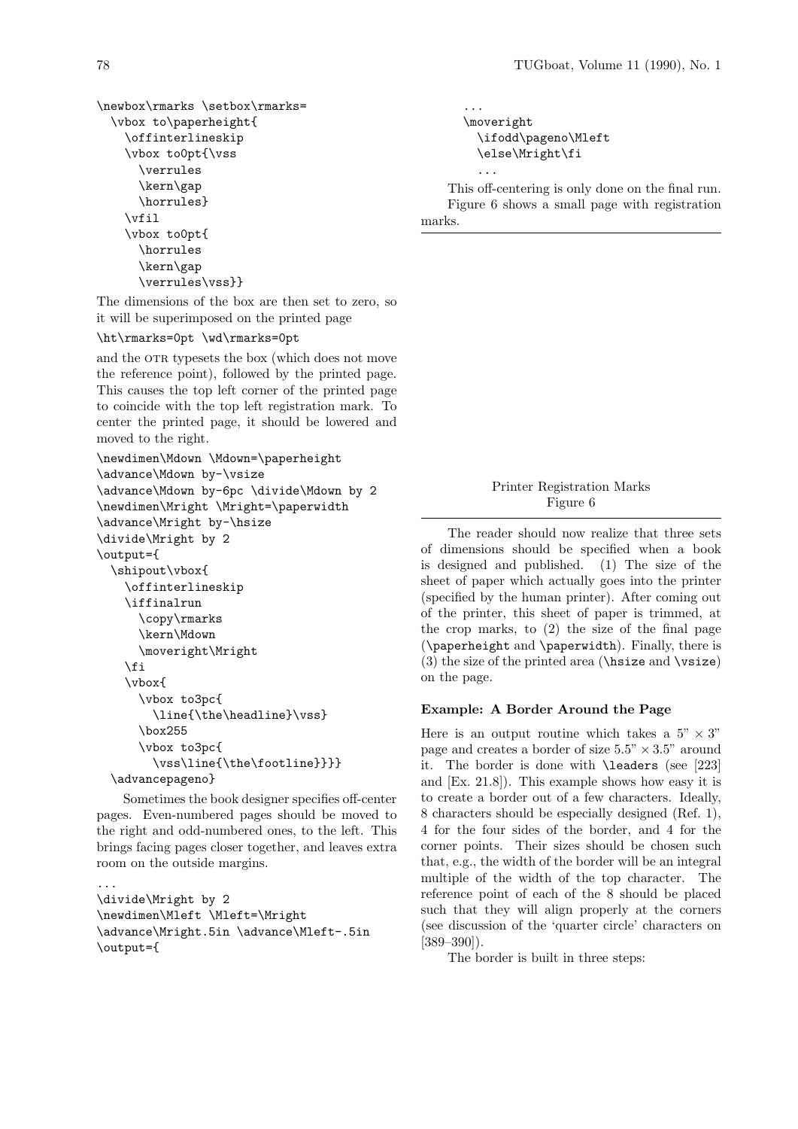```
\newbox\rmarks \setbox\rmarks=
 \vbox to\paperheight{
    \offinterlineskip
    \vbox to0pt{\vss
      \verrules
      \kern\gap
      \horrules}
    \vfil
    \vbox to0pt{
      \horrules
      \kern\gap
      \verrules\vss}}
```
The dimensions of the box are then set to zero, so it will be superimposed on the printed page

#### \ht\rmarks=0pt \wd\rmarks=0pt

and the OTR typesets the box (which does not move the reference point), followed by the printed page. This causes the top left corner of the printed page to coincide with the top left registration mark. To center the printed page, it should be lowered and moved to the right.

```
\newdimen\Mdown \Mdown=\paperheight
\advance\Mdown by-\vsize
\advance\Mdown by-6pc \divide\Mdown by 2
\newdimen\Mright \Mright=\paperwidth
\advance\Mright by-\hsize
\divide\Mright by 2
\output={
  \shipout\vbox{
    \offinterlineskip
    \iffinalrun
      \copy\rmarks
      \kern\Mdown
      \moveright\Mright
    \fi
    \vbox{
      \vbox to3pc{
        \line{\the\headline}\vss}
      \box255
      \vbox to3pc{
        \vss\line{\the\footline}}}}
  \advancepageno}
```
Sometimes the book designer specifies off-center pages. Even-numbered pages should be moved to the right and odd-numbered ones, to the left. This brings facing pages closer together, and leaves extra room on the outside margins.

```
...
\divide\Mright by 2
\newdimen\Mleft \Mleft=\Mright
\advance\Mright.5in \advance\Mleft-.5in
\output={
```

```
...
\moveright
  \ifodd\pageno\Mleft
  \else\Mright\fi
  ...
```
This off-centering is only done on the final run. Figure 6 shows a small page with registration marks.

> Printer Registration Marks Figure 6

The reader should now realize that three sets of dimensions should be specified when a book is designed and published. (1) The size of the sheet of paper which actually goes into the printer (specified by the human printer). After coming out of the printer, this sheet of paper is trimmed, at the crop marks, to (2) the size of the final page (\paperheight and \paperwidth). Finally, there is (3) the size of the printed area ( $\hbar$ size and  $\varepsilon$ ) on the page.

#### Example: A Border Around the Page

Here is an output routine which takes a  $5" \times 3"$ page and creates a border of size  $5.5" \times 3.5"$  around it. The border is done with \leaders (see [223] and [Ex. 21.8]). This example shows how easy it is to create a border out of a few characters. Ideally, 8 characters should be especially designed (Ref. 1), 4 for the four sides of the border, and 4 for the corner points. Their sizes should be chosen such that, e.g., the width of the border will be an integral multiple of the width of the top character. The reference point of each of the 8 should be placed such that they will align properly at the corners (see discussion of the 'quarter circle' characters on  $[389 - 390]$ .

The border is built in three steps: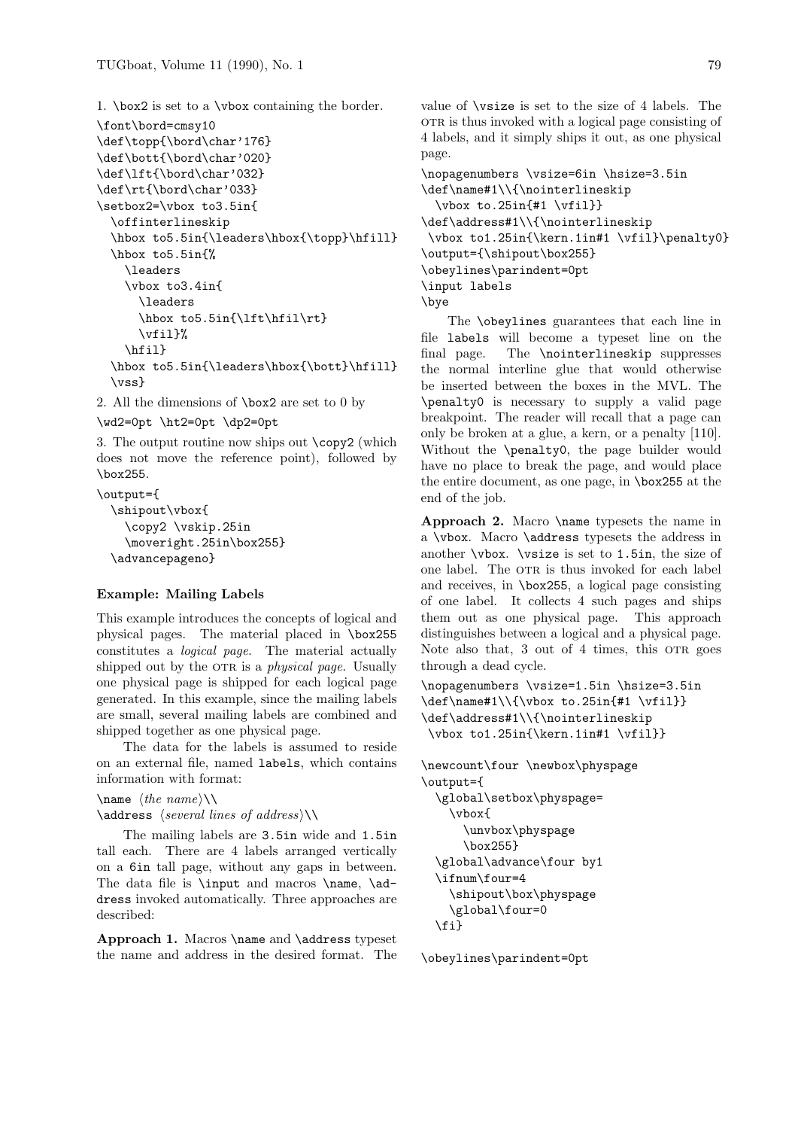1. \box2 is set to a \vbox containing the border.

```
\font\bord=cmsy10
\def\topp{\bord\char'176}
\def\bott{\bord\char'020}
\def\lft{\bord\char'032}
\def\rt{\bord\char'033}
\setbox2=\vbox to3.5in{
  \offinterlineskip
  \hbox to5.5in{\leaders\hbox{\topp}\hfill}
  \hbox to5.5in{%
    \leaders
    \vbox to3.4in{
      \leaders
      \hbox to5.5in{\lft\hfil\rt}
      \vfil}%
    \hfil}
  \hbox to5.5in{\leaders\hbox{\bott}\hfill}
  \vss}
```
2. All the dimensions of \box2 are set to 0 by

```
\wd2=0pt \ht2=0pt \dp2=0pt
```
3. The output routine now ships out \copy2 (which does not move the reference point), followed by \box255.

```
\output={
  \shipout\vbox{
    \copy2 \vskip.25in
    \moveright.25in\box255}
  \advancepageno}
```
# Example: Mailing Labels

This example introduces the concepts of logical and physical pages. The material placed in \box255 constitutes a logical page. The material actually shipped out by the OTR is a *physical page*. Usually one physical page is shipped for each logical page generated. In this example, since the mailing labels are small, several mailing labels are combined and shipped together as one physical page.

The data for the labels is assumed to reside on an external file, named labels, which contains information with format:

```
\name \langlethe name\rangle\setminus\langle
```

```
\adress \searrow deveral lines of address)
```
The mailing labels are 3.5in wide and 1.5in tall each. There are 4 labels arranged vertically on a 6in tall page, without any gaps in between. The data file is \input and macros \name, \address invoked automatically. Three approaches are described:

Approach 1. Macros \name and \address typeset the name and address in the desired format. The

value of \vsize is set to the size of 4 labels. The other is thus invoked with a logical page consisting of 4 labels, and it simply ships it out, as one physical page.

```
\nopagenumbers \vsize=6in \hsize=3.5in
\def\name#1\\{\nointerlineskip
  \vbox to.25in{#1 \vfil}}
\def\address#1\\{\nointerlineskip
 \vbox to1.25in{\kern.1in#1 \vfil}\penalty0}
\output={\shipout\box255}
\obeylines\parindent=0pt
\input labels
\bye
```
The \obeylines guarantees that each line in file labels will become a typeset line on the final page. The \nointerlineskip suppresses the normal interline glue that would otherwise be inserted between the boxes in the MVL. The \penalty0 is necessary to supply a valid page breakpoint. The reader will recall that a page can only be broken at a glue, a kern, or a penalty [110]. Without the \penalty0, the page builder would have no place to break the page, and would place the entire document, as one page, in \box255 at the end of the job.

Approach 2. Macro \name typesets the name in a \vbox. Macro \address typesets the address in another \vbox. \vsize is set to 1.5in, the size of one label. The OTR is thus invoked for each label and receives, in \box255, a logical page consisting of one label. It collects 4 such pages and ships them out as one physical page. This approach distinguishes between a logical and a physical page. Note also that,  $3$  out of  $4$  times, this  $OTR$  goes through a dead cycle.

```
\nopagenumbers \vsize=1.5in \hsize=3.5in
\def\name#1\\{\vbox to.25in{#1 \vfil}}
\def\address#1\\{\nointerlineskip
 \vbox to1.25in{\kern.1in#1 \vfil}}
```

```
\newcount\four \newbox\physpage
\output={
  \global\setbox\physpage=
    \vbox{
      \unvbox\physpage
      \box255}
  \global\advance\four by1
  \ifnum\four=4
    \shipout\box\physpage
    \global\four=0
  \fi}
```
\obeylines\parindent=0pt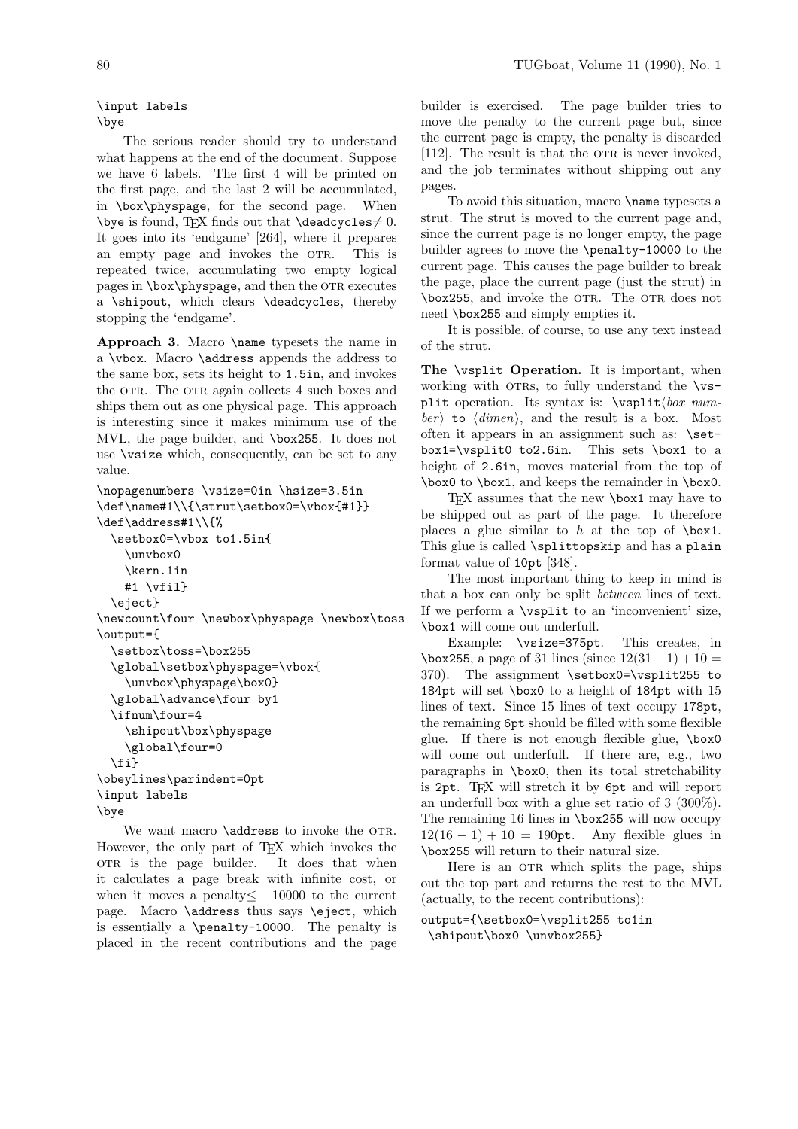\input labels \bye

The serious reader should try to understand what happens at the end of the document. Suppose we have 6 labels. The first 4 will be printed on the first page, and the last 2 will be accumulated, in \box\physpage, for the second page. When \bye is found, TEX finds out that \deadcycles  $\neq$  0. It goes into its 'endgame' [264], where it prepares an empty page and invokes the OTR. This is repeated twice, accumulating two empty logical pages in \box\physpage, and then the OTR executes a \shipout, which clears \deadcycles, thereby stopping the 'endgame'.

Approach 3. Macro \name typesets the name in a \vbox. Macro \address appends the address to the same box, sets its height to 1.5in, and invokes the OTR. The OTR again collects 4 such boxes and ships them out as one physical page. This approach is interesting since it makes minimum use of the MVL, the page builder, and \box255. It does not use \vsize which, consequently, can be set to any value.

```
\nopagenumbers \vsize=0in \hsize=3.5in
\def\name#1\\{\strut\setbox0=\vbox{#1}}
\def\address#1\\{%
  \setbox0=\vbox to1.5in{
    \unvbox0
    \kern.1in
    #1 \forallfil}
  \eject}
\newcount\four \newbox\physpage \newbox\toss
\output={
  \setbox\toss=\box255
  \global\setbox\physpage=\vbox{
    \unvbox\physpage\box0}
  \global\advance\four by1
  \ifnum\four=4
    \shipout\box\physpage
    \global\four=0
  \fi}
\obeylines\parindent=0pt
\input labels
\bye
```
We want macro **\address** to invoke the OTR. However, the only part of TEX which invokes the ork is the page builder. It does that when it calculates a page break with infinite cost, or when it moves a penalty  $\leq -10000$  to the current page. Macro **\address** thus says **\eject**, which is essentially a \penalty-10000. The penalty is placed in the recent contributions and the page builder is exercised. The page builder tries to move the penalty to the current page but, since the current page is empty, the penalty is discarded  $[112]$ . The result is that the OTR is never invoked, and the job terminates without shipping out any pages.

To avoid this situation, macro \name typesets a strut. The strut is moved to the current page and, since the current page is no longer empty, the page builder agrees to move the \penalty-10000 to the current page. This causes the page builder to break the page, place the current page (just the strut) in \box255, and invoke the otr. The otr does not need \box255 and simply empties it.

It is possible, of course, to use any text instead of the strut.

The **\vsplit Operation.** It is important, when working with OTRs, to fully understand the  $\forall$ split operation. Its syntax is:  $\vsplit\,box$  number) to  $\langle$  dimen), and the result is a box. Most often it appears in an assignment such as: \setbox1=\vsplit0 to2.6in. This sets \box1 to a height of 2.6in, moves material from the top of \box0 to \box1, and keeps the remainder in \box0.

TEX assumes that the new \box1 may have to be shipped out as part of the page. It therefore places a glue similar to  $h$  at the top of  $\boxtimes 1$ . This glue is called \splittopskip and has a plain format value of 10pt [348].

The most important thing to keep in mind is that a box can only be split between lines of text. If we perform a \vsplit to an 'inconvenient' size, \box1 will come out underfull.

Example: \vsize=375pt. This creates, in  $\text{box}255$ , a page of 31 lines (since  $12(31 - 1) + 10 =$ 370). The assignment \setbox0=\vsplit255 to 184pt will set \box0 to a height of 184pt with 15 lines of text. Since 15 lines of text occupy 178pt, the remaining 6pt should be filled with some flexible glue. If there is not enough flexible glue, \box0 will come out underfull. If there are, e.g., two paragraphs in \box0, then its total stretchability is 2pt. TEX will stretch it by 6pt and will report an underfull box with a glue set ratio of 3 (300%). The remaining 16 lines in \box255 will now occupy  $12(16 - 1) + 10 = 190$  pt. Any flexible glues in \box255 will return to their natural size.

Here is an OTR which splits the page, ships out the top part and returns the rest to the MVL (actually, to the recent contributions):

output={\setbox0=\vsplit255 to1in \shipout\box0 \unvbox255}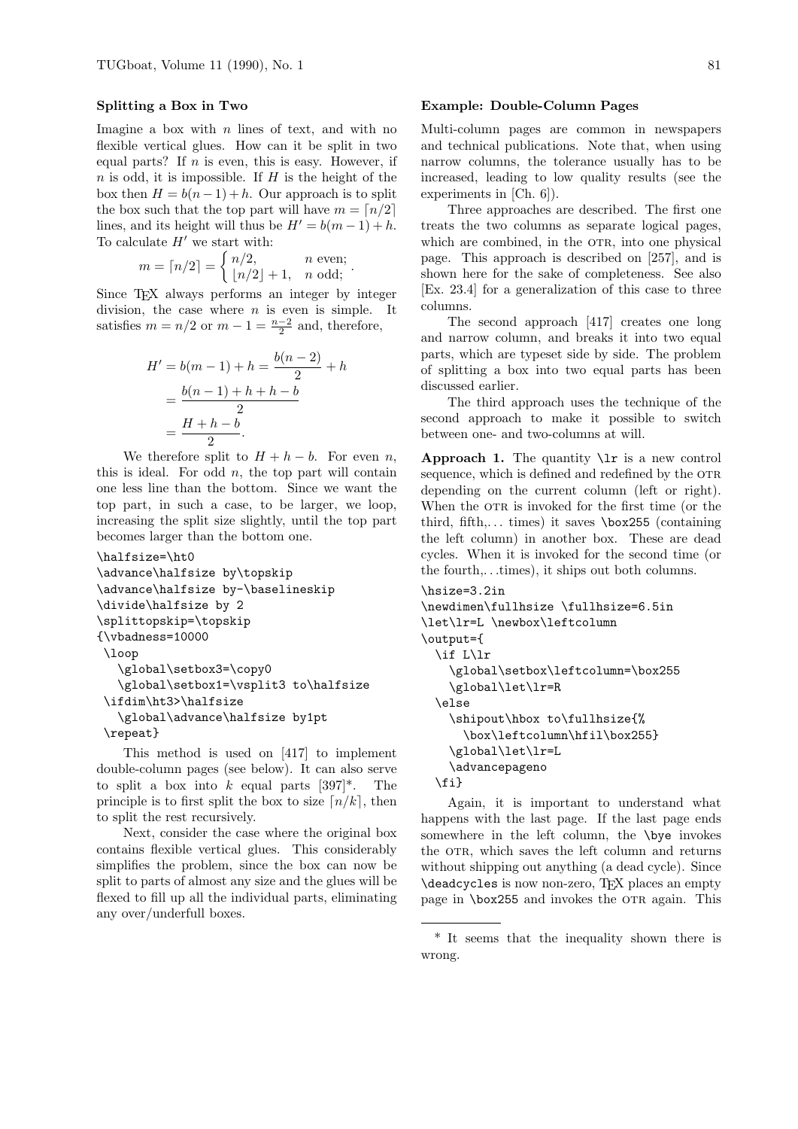### Splitting a Box in Two

Imagine a box with  $n$  lines of text, and with no flexible vertical glues. How can it be split in two equal parts? If  $n$  is even, this is easy. However, if  $n$  is odd, it is impossible. If  $H$  is the height of the box then  $H = b(n-1) + h$ . Our approach is to split the box such that the top part will have  $m = \lfloor n/2 \rfloor$ lines, and its height will thus be  $H' = b(m - 1) + h$ . To calculate  $H'$  we start with:

$$
m = \lceil n/2 \rceil = \begin{cases} n/2, & n \text{ even}; \\ \lfloor n/2 \rfloor + 1, & n \text{ odd}; \end{cases}
$$

Since TEX always performs an integer by integer division, the case where  $n$  is even is simple. It satisfies  $m = n/2$  or  $m - 1 = \frac{n-2}{2}$  and, therefore,

$$
H' = b(m - 1) + h = \frac{b(n - 2)}{2} + h
$$
  
= 
$$
\frac{b(n - 1) + h + h - b}{2}
$$
  
= 
$$
\frac{H + h - b}{2}.
$$

We therefore split to  $H + h - b$ . For even n, this is ideal. For odd  $n$ , the top part will contain one less line than the bottom. Since we want the top part, in such a case, to be larger, we loop, increasing the split size slightly, until the top part becomes larger than the bottom one.

```
\halfsize=\ht0
\advance\halfsize by\topskip
\advance\halfsize by-\baselineskip
\divide\halfsize by 2
\splittopskip=\topskip
{\vbadness=10000
 \loop
   \global\setbox3=\copy0
   \global\setbox1=\vsplit3 to\halfsize
 \ifdim\ht3>\halfsize
   \global\advance\halfsize by1pt
 \repeat}
```
This method is used on [417] to implement double-column pages (see below). It can also serve to split a box into k equal parts  $[397]^*$ . The principle is to first split the box to size  $\lceil n/k \rceil$ , then to split the rest recursively.

Next, consider the case where the original box contains flexible vertical glues. This considerably simplifies the problem, since the box can now be split to parts of almost any size and the glues will be flexed to fill up all the individual parts, eliminating any over/underfull boxes.

# Example: Double-Column Pages

Multi-column pages are common in newspapers and technical publications. Note that, when using narrow columns, the tolerance usually has to be increased, leading to low quality results (see the experiments in [Ch. 6]).

Three approaches are described. The first one treats the two columns as separate logical pages, which are combined, in the OTR, into one physical page. This approach is described on [257], and is shown here for the sake of completeness. See also [Ex. 23.4] for a generalization of this case to three columns.

The second approach [417] creates one long and narrow column, and breaks it into two equal parts, which are typeset side by side. The problem of splitting a box into two equal parts has been discussed earlier.

The third approach uses the technique of the second approach to make it possible to switch between one- and two-columns at will.

Approach 1. The quantity  $\iota$  is a new control sequence, which is defined and redefined by the OTR depending on the current column (left or right). When the OTR is invoked for the first time (or the third, fifth,... times) it saves  $\boxtimes 255$  (containing the left column) in another box. These are dead cycles. When it is invoked for the second time (or the fourth,. . .times), it ships out both columns.

```
\hsize=3.2in
\newdimen\fullhsize \fullhsize=6.5in
\let\lr=L \newbox\leftcolumn
\output={
  \if L\lr
    \global\setbox\leftcolumn=\box255
    \global\let\lr=R
  \else
    \shipout\hbox to\fullhsize{%
      \box\leftcolumn\hfil\box255}
    \global\let\lr=L
    \advancepageno
  \fi}
```
Again, it is important to understand what happens with the last page. If the last page ends somewhere in the left column, the \bye invokes the OTR, which saves the left column and returns without shipping out anything (a dead cycle). Since \deadcycles is now non-zero, TEX places an empty page in \box255 and invokes the OTR again. This

<sup>\*</sup> It seems that the inequality shown there is wrong.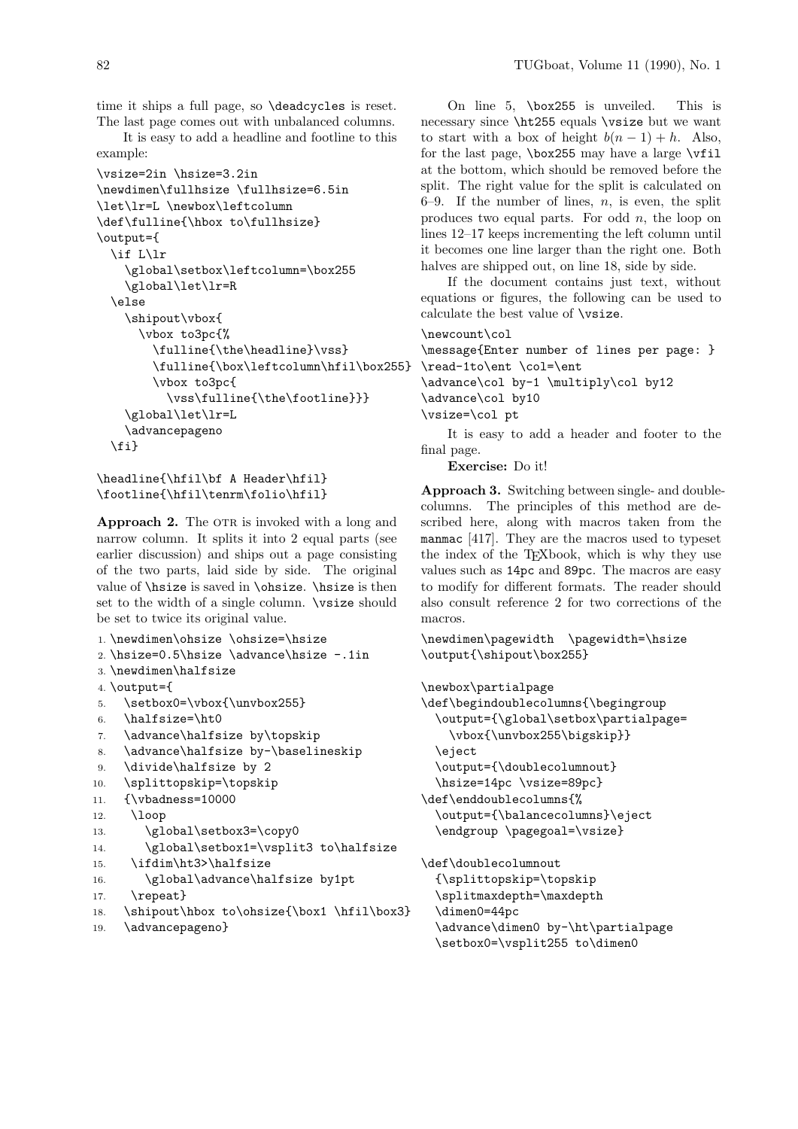time it ships a full page, so \deadcycles is reset. The last page comes out with unbalanced columns.

It is easy to add a headline and footline to this example:

```
\vsize=2in \hsize=3.2in
\newdimen\fullhsize \fullhsize=6.5in
\let\lr=L \newbox\leftcolumn
\def\fulline{\hbox to\fullhsize}
\output={
  \if L\lr
    \global\setbox\leftcolumn=\box255
    \global\let\lr=R
  \else
    \shipout\vbox{
      \vbox to3pc{%
        \fulline{\the\headline}\vss}
        \fulline{\box\leftcolumn\hfil\box255}
        \vbox to3pc{
          \vss\fulline{\the\footline}}}
    \global\let\lr=L
    \advancepageno
  \fi}
```
\headline{\hfil\bf A Header\hfil} \footline{\hfil\tenrm\folio\hfil}

Approach 2. The OTR is invoked with a long and narrow column. It splits it into 2 equal parts (see earlier discussion) and ships out a page consisting of the two parts, laid side by side. The original value of \hsize is saved in \ohsize. \hsize is then set to the width of a single column.  $\forall$ size should be set to twice its original value.

```
1. \newdimen\ohsize \ohsize=\hsize
2. \hsize=0.5\hsize \advance\hsize -.1in3. \newdimen\halfsize
4. \output={
5. \setbox0=\vbox{\unvbox255}
6. \halfsize=\ht0
7. \advance\halfsize by\topskip
8. \advance\halfsize by-\baselineskip
9. \divide\halfsize by 2
10. \splittopskip=\topskip
11. {\vbadness=10000
12. \loop
13. \global\setbox3=\copy0
14. \global\setbox1=\vsplit3 to\halfsize
15. \ifdim\ht3>\halfsize
16. \global\advance\halfsize by1pt
17. \repeat}
```

```
18. \shipout\hbox to\ohsize{\box1 \hfil\box3}
```

```
19. \advancepageno}
```
On line 5, \box255 is unveiled. This is necessary since \ht255 equals \vsize but we want to start with a box of height  $b(n-1) + h$ . Also, for the last page,  $\boxtimes 255$  may have a large  $\widetilde{\text{1}}$ at the bottom, which should be removed before the split. The right value for the split is calculated on 6–9. If the number of lines,  $n$ , is even, the split produces two equal parts. For odd  $n$ , the loop on lines 12–17 keeps incrementing the left column until it becomes one line larger than the right one. Both halves are shipped out, on line 18, side by side.

If the document contains just text, without equations or figures, the following can be used to calculate the best value of \vsize.

```
\newcount\col
```

```
\message{Enter number of lines per page: }
\read-1to\ent \col=\ent
\advance\col by-1 \multiply\col by12
\advance\col by10
\vsize=\col pt
   It is easy to add a header and footer to the
final page.
```
Exercise: Do it!

Approach 3. Switching between single- and doublecolumns. The principles of this method are described here, along with macros taken from the manmac [417]. They are the macros used to typeset the index of the T<sub>E</sub>Xbook, which is why they use values such as 14pc and 89pc. The macros are easy to modify for different formats. The reader should also consult reference 2 for two corrections of the macros.

\newdimen\pagewidth \pagewidth=\hsize \output{\shipout\box255}

\newbox\partialpage

```
\def\begindoublecolumns{\begingroup
  \output={\global\setbox\partialpage=
    \vbox{\unvbox255\bigskip}}
  \eject
  \output={\doublecolumnout}
  \hsize=14pc \vsize=89pc}
\def\enddoublecolumns{%
  \output={\balancecolumns}\eject
```
\endgroup \pagegoal=\vsize}

\def\doublecolumnout

{\splittopskip=\topskip \splitmaxdepth=\maxdepth

\dimen0=44pc

\advance\dimen0 by-\ht\partialpage \setbox0=\vsplit255 to\dimen0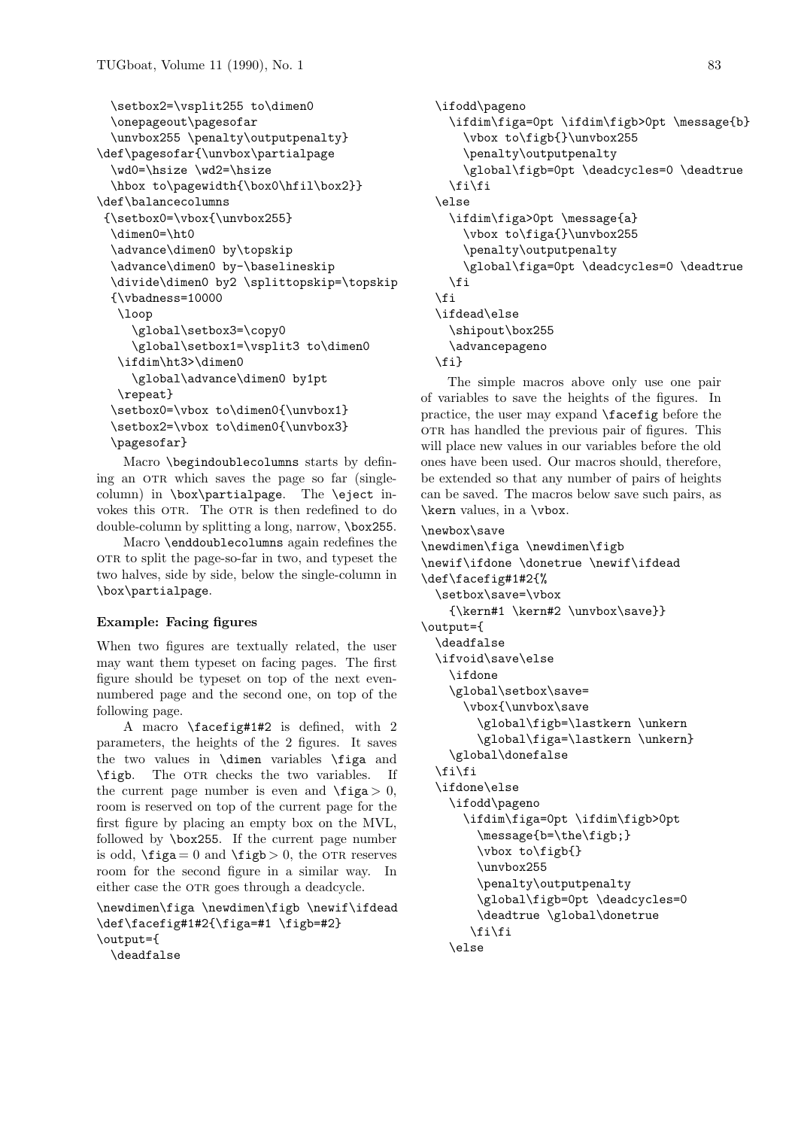```
\setbox2=\vsplit255 to\dimen0
 \onepageout\pagesofar
 \unvbox255 \penalty\outputpenalty}
\def\pagesofar{\unvbox\partialpage
 \wd0=\hsize \wd2=\hsize
 \hbox to\pagewidth{\box0\hfil\box2}}
\def\balancecolumns
 {\setbox0=\vbox{\unvbox255}
  \dimen0=\ht0
 \advance\dimen0 by\topskip
 \advance\dimen0 by-\baselineskip
 \divide\dimen0 by2 \splittopskip=\topskip
  {\vbadness=10000
  \loop
     \global\setbox3=\copy0
     \global\setbox1=\vsplit3 to\dimen0
  \ifdim\ht3>\dimen0
    \global\advance\dimen0 by1pt
  \repeat}
  \setbox0=\vbox to\dimen0{\unvbox1}
  \setbox2=\vbox to\dimen0{\unvbox3}
  \pagesofar}
```
Macro \begindoublecolumns starts by defining an OTR which saves the page so far (singlecolumn) in \box\partialpage. The \eject invokes this OTR. The OTR is then redefined to do double-column by splitting a long, narrow, \box255.

Macro \enddoublecolumns again redefines the ork to split the page-so-far in two, and typeset the two halves, side by side, below the single-column in \box\partialpage.

# Example: Facing figures

When two figures are textually related, the user may want them typeset on facing pages. The first figure should be typeset on top of the next evennumbered page and the second one, on top of the following page.

A macro \facefig#1#2 is defined, with 2 parameters, the heights of the 2 figures. It saves the two values in \dimen variables \figa and \figb. The OTR checks the two variables. If the current page number is even and  $\frac{\text{figa}}{0}$ , room is reserved on top of the current page for the first figure by placing an empty box on the MVL, followed by \box255. If the current page number is odd,  $\text{figa} = 0$  and  $\text{figb} > 0$ , the OTR reserves room for the second figure in a similar way. In either case the OTR goes through a deadcycle.

\newdimen\figa \newdimen\figb \newif\ifdead \def\facefig#1#2{\figa=#1 \figb=#2} \output={ \deadfalse

```
\ifodd\pageno
  \ifdim\figa=0pt \ifdim\figb>0pt \message{b}
    \vbox to\figb{}\unvbox255
    \penalty\outputpenalty
    \global\figb=0pt \deadcycles=0 \deadtrue
  \fi\fi
\else
  \ifdim\figa>0pt \message{a}
    \vbox to\figa{}\unvbox255
    \penalty\outputpenalty
    \global\figa=0pt \deadcycles=0 \deadtrue
  \fi
\eta\ifdead\else
  \shipout\box255
  \advancepageno
\{f_i\}
```
The simple macros above only use one pair of variables to save the heights of the figures. In practice, the user may expand \facefig before the orn has handled the previous pair of figures. This will place new values in our variables before the old ones have been used. Our macros should, therefore, be extended so that any number of pairs of heights can be saved. The macros below save such pairs, as \kern values, in a \vbox.

```
\newbox\save
```

```
\newdimen\figa \newdimen\figb
\newif\ifdone \donetrue \newif\ifdead
\def\facefig#1#2{%
  \setbox\save=\vbox
    {\kern#1 \kern#2 \unvbox\save}}
\output={
  \deadfalse
  \ifvoid\save\else
    \ifdone
    \global\setbox\save=
      \vbox{\unvbox\save
        \global\figb=\lastkern \unkern
        \global\figa=\lastkern \unkern}
    \global\donefalse
  \fi\fi
  \ifdone\else
    \ifodd\pageno
      \ifdim\figa=0pt \ifdim\figb>0pt
        \message{b=\the\figb;}
        \vbox to\figb{}
        \unvbox255
        \penalty\outputpenalty
        \global\figb=0pt \deadcycles=0
        \deadtrue \global\donetrue
       \fi\fi
```

```
\else
```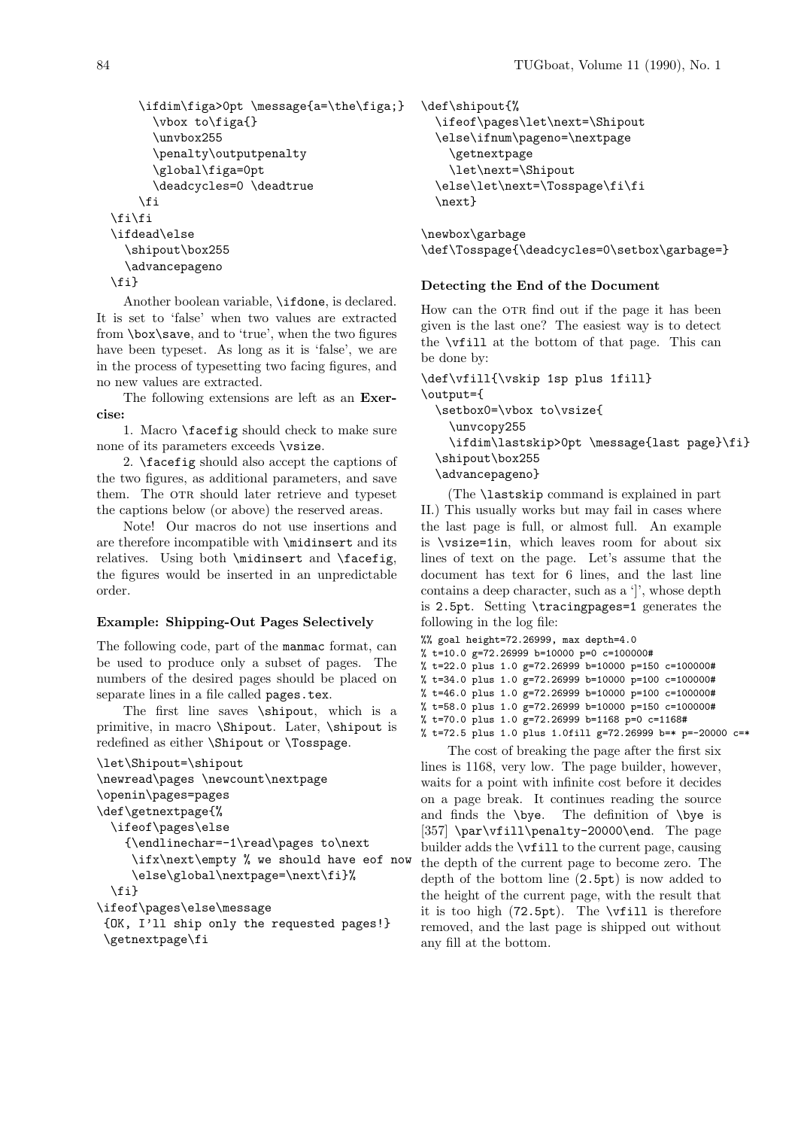```
\ifdim\figa>0pt \message{a=\the\figa;}
      \vbox to\figa{}
      \unvbox255
      \penalty\outputpenalty
      \global\figa=0pt
      \deadcycles=0 \deadtrue
    \eta\fi\fi
\ifdead\else
  \shipout\box255
  \advancepageno
\fi}
```
Another boolean variable, \ifdone, is declared. It is set to 'false' when two values are extracted from \box\save, and to 'true', when the two figures have been typeset. As long as it is 'false', we are in the process of typesetting two facing figures, and no new values are extracted.

The following extensions are left as an Exercise:

1. Macro \facefig should check to make sure none of its parameters exceeds \vsize.

2. \facefig should also accept the captions of the two figures, as additional parameters, and save them. The OTR should later retrieve and typeset the captions below (or above) the reserved areas.

Note! Our macros do not use insertions and are therefore incompatible with \midinsert and its relatives. Using both \midinsert and \facefig, the figures would be inserted in an unpredictable order.

# Example: Shipping-Out Pages Selectively

The following code, part of the manmac format, can be used to produce only a subset of pages. The numbers of the desired pages should be placed on separate lines in a file called pages.tex.

The first line saves \shipout, which is a primitive, in macro \Shipout. Later, \shipout is redefined as either \Shipout or \Tosspage.

```
\let\Shipout=\shipout
\newread\pages \newcount\nextpage
\openin\pages=pages
\def\getnextpage{%
  \ifeof\pages\else
    {\endlinechar=-1\read\pages to\next
     \ifx\next\empty % we should have eof now
     \else\global\nextpage=\next\fi}%
  \fi}
\ifeof\pages\else\message
 {OK, I'll ship only the requested pages!}
 \getnextpage\fi
```

```
\def\shipout{%
  \ifeof\pages\let\next=\Shipout
  \else\ifnum\pageno=\nextpage
    \getnextpage
    \let\next=\Shipout
  \else\let\next=\Tosspage\fi\fi
  \next}
```
\newbox\garbage \def\Tosspage{\deadcycles=0\setbox\garbage=}

# Detecting the End of the Document

How can the OTR find out if the page it has been given is the last one? The easiest way is to detect the \vfill at the bottom of that page. This can be done by:

```
\def\vfill{\vskip 1sp plus 1fill}
\output={
  \setbox0=\vbox to\vsize{
    \unvcopy255
    \ifdim\lastskip>0pt \message{last page}\fi}
  \shipout\box255
  \advancepageno}
```
(The \lastskip command is explained in part II.) This usually works but may fail in cases where the last page is full, or almost full. An example is \vsize=1in, which leaves room for about six lines of text on the page. Let's assume that the document has text for 6 lines, and the last line contains a deep character, such as a ']', whose depth is 2.5pt. Setting \tracingpages=1 generates the following in the log file:

```
%% goal height=72.26999, max depth=4.0
% t=10.0 g=72.26999 b=10000 p=0 c=100000#
% t=22.0 plus 1.0 g=72.26999 b=10000 p=150 c=100000#
% t=34.0 plus 1.0 g=72.26999 b=10000 p=100 c=100000#
% t=46.0 plus 1.0 g=72.26999 b=10000 p=100 c=100000#
```

```
% t=58.0 plus 1.0 g=72.26999 b=10000 p=150 c=100000#
% t=70.0 plus 1.0 g=72.26999 b=1168 p=0 c=1168#
```
% t=72.5 plus 1.0 plus 1.0fill g=72.26999 b=\* p=-20000 c=\*

The cost of breaking the page after the first six lines is 1168, very low. The page builder, however, waits for a point with infinite cost before it decides on a page break. It continues reading the source and finds the \bye. The definition of \bye is [357] \par\vfill\penalty-20000\end. The page builder adds the \vfill to the current page, causing the depth of the current page to become zero. The depth of the bottom line (2.5pt) is now added to the height of the current page, with the result that it is too high (72.5pt). The \vfill is therefore removed, and the last page is shipped out without any fill at the bottom.